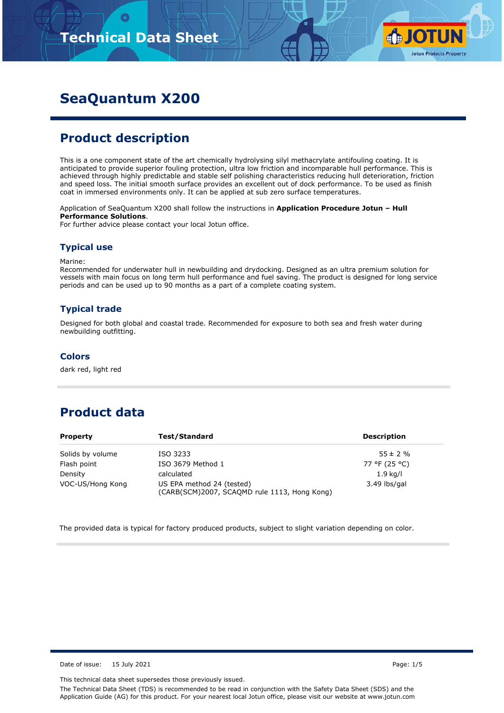

# **SeaQuantum X200**

# **Product description**

This is a one component state of the art chemically hydrolysing silyl methacrylate antifouling coating. It is anticipated to provide superior fouling protection, ultra low friction and incomparable hull performance. This is achieved through highly predictable and stable self polishing characteristics reducing hull deterioration, friction and speed loss. The initial smooth surface provides an excellent out of dock performance. To be used as finish coat in immersed environments only. It can be applied at sub zero surface temperatures.

Application of SeaQuantum X200 shall follow the instructions in **Application Procedure Jotun – Hull Performance Solutions**.

For further advice please contact your local Jotun office.

#### **Typical use**

Marine:

Recommended for underwater hull in newbuilding and drydocking. Designed as an ultra premium solution for vessels with main focus on long term hull performance and fuel saving. The product is designed for long service periods and can be used up to 90 months as a part of a complete coating system.

### **Typical trade**

Designed for both global and coastal trade. Recommended for exposure to both sea and fresh water during newbuilding outfitting.

#### **Colors**

dark red, light red

# **Product data**

| <b>Property</b>  | Test/Standard                                                                             | <b>Description</b> |
|------------------|-------------------------------------------------------------------------------------------|--------------------|
| Solids by volume | ISO 3233                                                                                  | $55 \pm 2 \%$      |
| Flash point      | ISO 3679 Method 1                                                                         | 77 °F (25 °C)      |
| Density          | calculated                                                                                | $1.9$ kg/l         |
| VOC-US/Hong Kong | US EPA method 24 (tested)<br>3.49 lbs/gal<br>(CARB(SCM)2007, SCAQMD rule 1113, Hong Kong) |                    |

The provided data is typical for factory produced products, subject to slight variation depending on color.

Date of issue: 15 July 2021 **Page: 1/5** 

This technical data sheet supersedes those previously issued.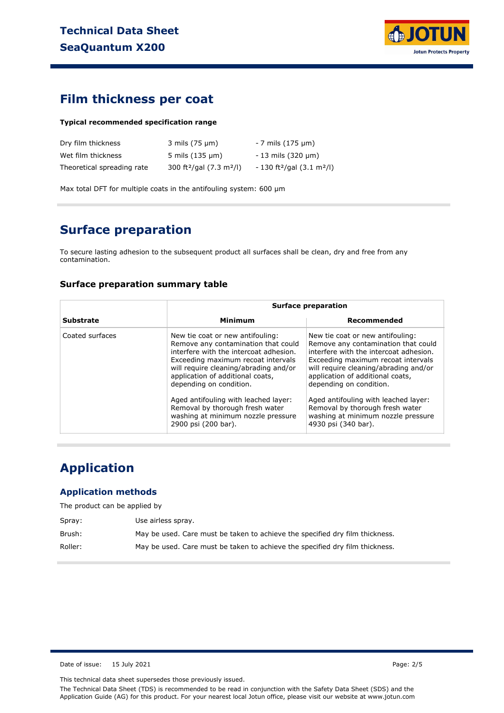

### **Film thickness per coat**

#### **Typical recommended specification range**

| Dry film thickness         | 3 mils (75 µm)                                   | - 7 mils (175 µm)                                  |
|----------------------------|--------------------------------------------------|----------------------------------------------------|
| Wet film thickness         | $5 \text{ miles} (135 \text{ µm})$               | $-13$ mils (320 $\mu$ m)                           |
| Theoretical spreading rate | 300 ft <sup>2</sup> /gal (7.3 m <sup>2</sup> /l) | - 130 ft <sup>2</sup> /gal (3.1 m <sup>2</sup> /l) |

Max total DFT for multiple coats in the antifouling system: 600 µm

### **Surface preparation**

To secure lasting adhesion to the subsequent product all surfaces shall be clean, dry and free from any contamination.

### **Surface preparation summary table**

|                  |                                                                                                                                                                                                                                                                 | <b>Surface preparation</b>                                                                                                                                                                                                                                      |
|------------------|-----------------------------------------------------------------------------------------------------------------------------------------------------------------------------------------------------------------------------------------------------------------|-----------------------------------------------------------------------------------------------------------------------------------------------------------------------------------------------------------------------------------------------------------------|
| <b>Substrate</b> | <b>Minimum</b>                                                                                                                                                                                                                                                  | Recommended                                                                                                                                                                                                                                                     |
| Coated surfaces  | New tie coat or new antifouling:<br>Remove any contamination that could<br>interfere with the intercoat adhesion.<br>Exceeding maximum recoat intervals<br>will require cleaning/abrading and/or<br>application of additional coats,<br>depending on condition. | New tie coat or new antifouling:<br>Remove any contamination that could<br>interfere with the intercoat adhesion.<br>Exceeding maximum recoat intervals<br>will require cleaning/abrading and/or<br>application of additional coats,<br>depending on condition. |
|                  | Aged antifouling with leached layer:<br>Removal by thorough fresh water<br>washing at minimum nozzle pressure<br>2900 psi (200 bar).                                                                                                                            | Aged antifouling with leached layer:<br>Removal by thorough fresh water<br>washing at minimum nozzle pressure<br>4930 psi (340 bar).                                                                                                                            |

# **Application**

### **Application methods**

The product can be applied by

| Spray:  | Use airless spray.                                                           |
|---------|------------------------------------------------------------------------------|
| Brush:  | May be used. Care must be taken to achieve the specified dry film thickness. |
| Roller: | May be used. Care must be taken to achieve the specified dry film thickness. |

Date of issue: 15 July 2021 **Page: 2/5** 

This technical data sheet supersedes those previously issued.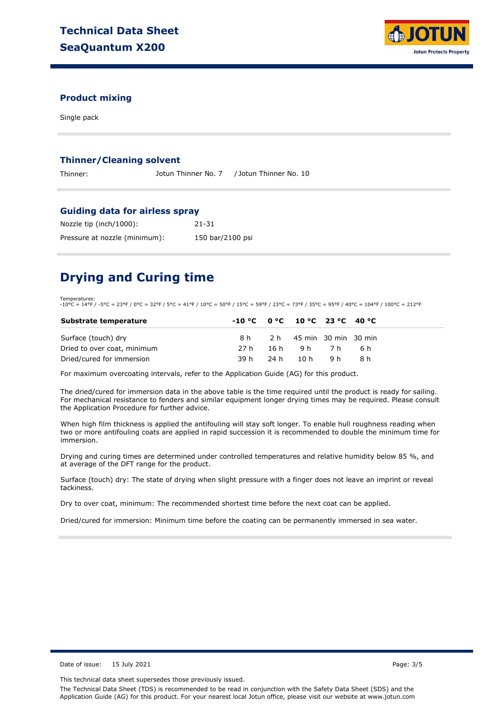

### **Product mixing**

Single pack

#### **Thinner/Cleaning solvent**

Thinner: Jotun Thinner No. 7 / Jotun Thinner No. 10

#### **Guiding data for airless spray**

| Nozzle tip (inch/1000):       | 21-31            |
|-------------------------------|------------------|
| Pressure at nozzle (minimum): | 150 bar/2100 psi |

# **Drying and Curing time**

Temperatures: -10°C = 14°F / -5°C = 23°F / 0°C = 32°F / 5°C = 41°F / 10°C = 50°F / 15°C = 59°F / 23°C = 73°F / 35°C = 95°F / 40°C = 104°F / 100°C = 212°F

| Substrate temperature       | $-10 °C$ $0 °C$ $10 °C$ $23 °C$ $40 °C$ |                              |       |  |
|-----------------------------|-----------------------------------------|------------------------------|-------|--|
| Surface (touch) dry         |                                         | 8 h 2 h 45 min 30 min 30 min |       |  |
| Dried to over coat, minimum | 27 h                                    | 16h 9h 7h                    | - 6 h |  |
| Dried/cured for immersion   |                                         | 39h 24h 10h 9h               | R h   |  |

For maximum overcoating intervals, refer to the Application Guide (AG) for this product.

The dried/cured for immersion data in the above table is the time required until the product is ready for sailing. For mechanical resistance to fenders and similar equipment longer drying times may be required. Please consult the Application Procedure for further advice.

When high film thickness is applied the antifouling will stay soft longer. To enable hull roughness reading when two or more antifouling coats are applied in rapid succession it is recommended to double the minimum time for immersion.

Drying and curing times are determined under controlled temperatures and relative humidity below 85 %, and at average of the DFT range for the product.

Surface (touch) dry: The state of drying when slight pressure with a finger does not leave an imprint or reveal tackiness.

Dry to over coat, minimum: The recommended shortest time before the next coat can be applied.

Dried/cured for immersion: Minimum time before the coating can be permanently immersed in sea water.

Date of issue: 15 July 2021 **Page: 3/5** 

This technical data sheet supersedes those previously issued.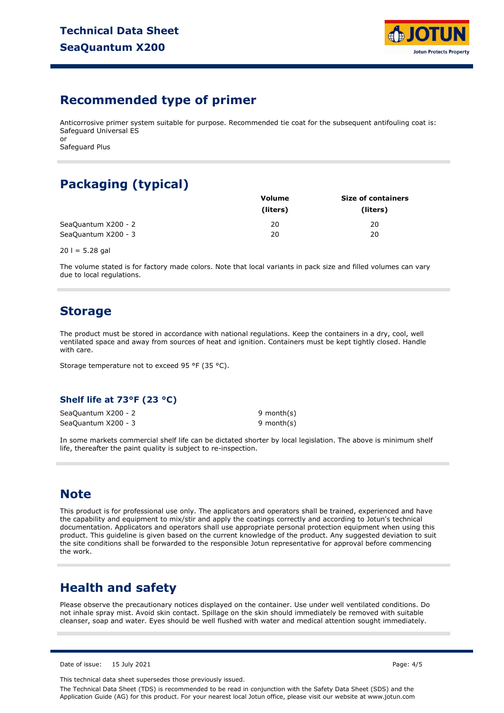

### **Recommended type of primer**

Anticorrosive primer system suitable for purpose. Recommended tie coat for the subsequent antifouling coat is: Safeguard Universal ES or

Safeguard Plus

# **Packaging (typical)**

|                     | <b>Volume</b> | <b>Size of containers</b> |  |  |
|---------------------|---------------|---------------------------|--|--|
|                     | (liters)      | (liters)                  |  |  |
| SeaQuantum X200 - 2 | 20            | 20                        |  |  |
| SeaQuantum X200 - 3 | 20            | 20                        |  |  |

 $20$  l = 5.28 gal

The volume stated is for factory made colors. Note that local variants in pack size and filled volumes can vary due to local regulations.

### **Storage**

The product must be stored in accordance with national regulations. Keep the containers in a dry, cool, well ventilated space and away from sources of heat and ignition. Containers must be kept tightly closed. Handle with care.

Storage temperature not to exceed 95 °F (35 °C).

### **Shelf life at 73°F (23 °C)**

SeaQuantum X200 - 2 SeaQuantum X200 - 3

9 month(s) 9 month(s)

In some markets commercial shelf life can be dictated shorter by local legislation. The above is minimum shelf life, thereafter the paint quality is subject to re-inspection.

# **Note**

This product is for professional use only. The applicators and operators shall be trained, experienced and have the capability and equipment to mix/stir and apply the coatings correctly and according to Jotun's technical documentation. Applicators and operators shall use appropriate personal protection equipment when using this product. This guideline is given based on the current knowledge of the product. Any suggested deviation to suit the site conditions shall be forwarded to the responsible Jotun representative for approval before commencing the work.

# **Health and safety**

Please observe the precautionary notices displayed on the container. Use under well ventilated conditions. Do not inhale spray mist. Avoid skin contact. Spillage on the skin should immediately be removed with suitable cleanser, soap and water. Eyes should be well flushed with water and medical attention sought immediately.

Date of issue: 15 July 2021 Page: 4/5

This technical data sheet supersedes those previously issued.